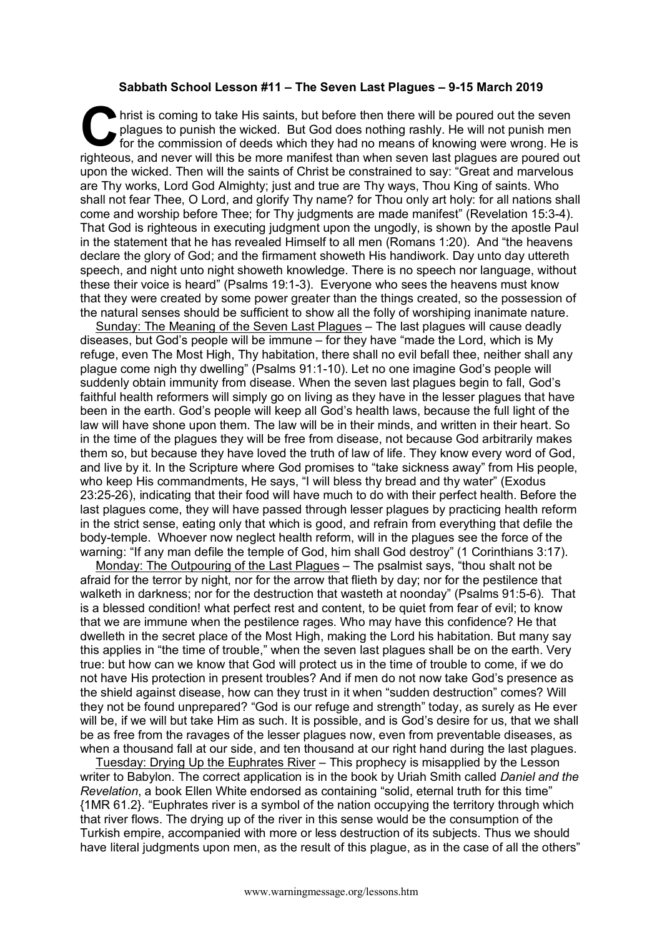## **Sabbath School Lesson #11 – The Seven Last Plagues – 9-15 March 2019**

hrist is coming to take His saints, but before then there will be poured out the seven plagues to punish the wicked. But God does nothing rashly. He will not punish men for the commission of deeds which they had no means o plagues to punish the wicked. But God does nothing rashly. He will not punish men for the commission of deeds which they had no means of knowing were wrong. He is righteous, and never will this be more manifest than when seven last plagues are poured out upon the wicked. Then will the saints of Christ be constrained to say: "Great and marvelous are Thy works, Lord God Almighty; just and true are Thy ways, Thou King of saints. Who shall not fear Thee, O Lord, and glorify Thy name? for Thou only art holy: for all nations shall come and worship before Thee; for Thy judgments are made manifest" (Revelation 15:3-4). That God is righteous in executing judgment upon the ungodly, is shown by the apostle Paul in the statement that he has revealed Himself to all men (Romans 1:20). And "the heavens declare the glory of God; and the firmament showeth His handiwork. Day unto day uttereth speech, and night unto night showeth knowledge. There is no speech nor language, without these their voice is heard" (Psalms 19:1-3). Everyone who sees the heavens must know that they were created by some power greater than the things created, so the possession of the natural senses should be sufficient to show all the folly of worshiping inanimate nature.

Sunday: The Meaning of the Seven Last Plagues – The last plagues will cause deadly diseases, but God's people will be immune – for they have "made the Lord, which is My refuge, even The Most High, Thy habitation, there shall no evil befall thee, neither shall any plague come nigh thy dwelling" (Psalms 91:1-10). Let no one imagine God's people will suddenly obtain immunity from disease. When the seven last plagues begin to fall, God's faithful health reformers will simply go on living as they have in the lesser plagues that have been in the earth. God's people will keep all God's health laws, because the full light of the law will have shone upon them. The law will be in their minds, and written in their heart. So in the time of the plagues they will be free from disease, not because God arbitrarily makes them so, but because they have loved the truth of law of life. They know every word of God, and live by it. In the Scripture where God promises to "take sickness away" from His people, who keep His commandments, He says, "I will bless thy bread and thy water" (Exodus 23:25-26), indicating that their food will have much to do with their perfect health. Before the last plagues come, they will have passed through lesser plagues by practicing health reform in the strict sense, eating only that which is good, and refrain from everything that defile the body-temple. Whoever now neglect health reform, will in the plagues see the force of the warning: "If any man defile the temple of God, him shall God destroy" (1 Corinthians 3:17).

Monday: The Outpouring of the Last Plagues – The psalmist says, "thou shalt not be afraid for the terror by night, nor for the arrow that flieth by day; nor for the pestilence that walketh in darkness; nor for the destruction that wasteth at noonday" (Psalms 91:5-6). That is a blessed condition! what perfect rest and content, to be quiet from fear of evil; to know that we are immune when the pestilence rages. Who may have this confidence? He that dwelleth in the secret place of the Most High, making the Lord his habitation. But many say this applies in "the time of trouble," when the seven last plagues shall be on the earth. Very true: but how can we know that God will protect us in the time of trouble to come, if we do not have His protection in present troubles? And if men do not now take God's presence as the shield against disease, how can they trust in it when "sudden destruction" comes? Will they not be found unprepared? "God is our refuge and strength" today, as surely as He ever will be, if we will but take Him as such. It is possible, and is God's desire for us, that we shall be as free from the ravages of the lesser plagues now, even from preventable diseases, as when a thousand fall at our side, and ten thousand at our right hand during the last plagues.

Tuesday: Drying Up the Euphrates River – This prophecy is misapplied by the Lesson writer to Babylon. The correct application is in the book by Uriah Smith called *Daniel and the Revelation*, a book Ellen White endorsed as containing "solid, eternal truth for this time" {1MR 61.2}. "Euphrates river is a symbol of the nation occupying the territory through which that river flows. The drying up of the river in this sense would be the consumption of the Turkish empire, accompanied with more or less destruction of its subjects. Thus we should have literal judgments upon men, as the result of this plague, as in the case of all the others"